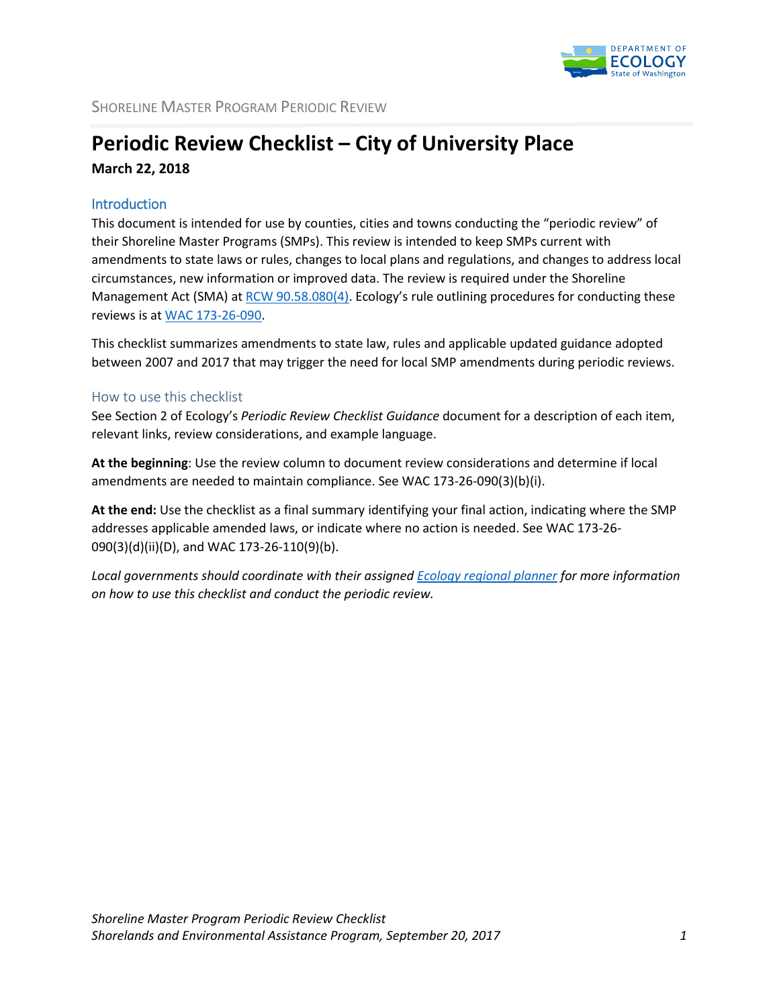

## **Periodic Review Checklist – City of University Place March 22, 2018**

## **Introduction**

This document is intended for use by counties, cities and towns conducting the "periodic review" of their Shoreline Master Programs (SMPs). This review is intended to keep SMPs current with amendments to state laws or rules, changes to local plans and regulations, and changes to address local circumstances, new information or improved data. The review is required under the Shoreline Management Act (SMA) at [RCW 90.58.080\(4\).](http://app.leg.wa.gov/RCW/default.aspx?cite=90.58.080) Ecology's rule outlining procedures for conducting these reviews is a[t WAC 173-26-090.](http://apps.leg.wa.gov/wac/default.aspx?cite=173-26-090)

This checklist summarizes amendments to state law, rules and applicable updated guidance adopted between 2007 and 2017 that may trigger the need for local SMP amendments during periodic reviews.

## How to use this checklist

See Section 2 of Ecology's *Periodic Review Checklist Guidance* document for a description of each item, relevant links, review considerations, and example language.

**At the beginning**: Use the review column to document review considerations and determine if local amendments are needed to maintain compliance. See WAC 173-26-090(3)(b)(i).

**At the end:** Use the checklist as a final summary identifying your final action, indicating where the SMP addresses applicable amended laws, or indicate where no action is needed. See WAC 173-26- 090(3)(d)(ii)(D), and WAC 173-26-110(9)(b).

*Local governments should coordinate with their assigned Ecology [regional planner](http://www.ecy.wa.gov/programs/sea/sma/contacts/index.html) for more information on how to use this checklist and conduct the periodic review.*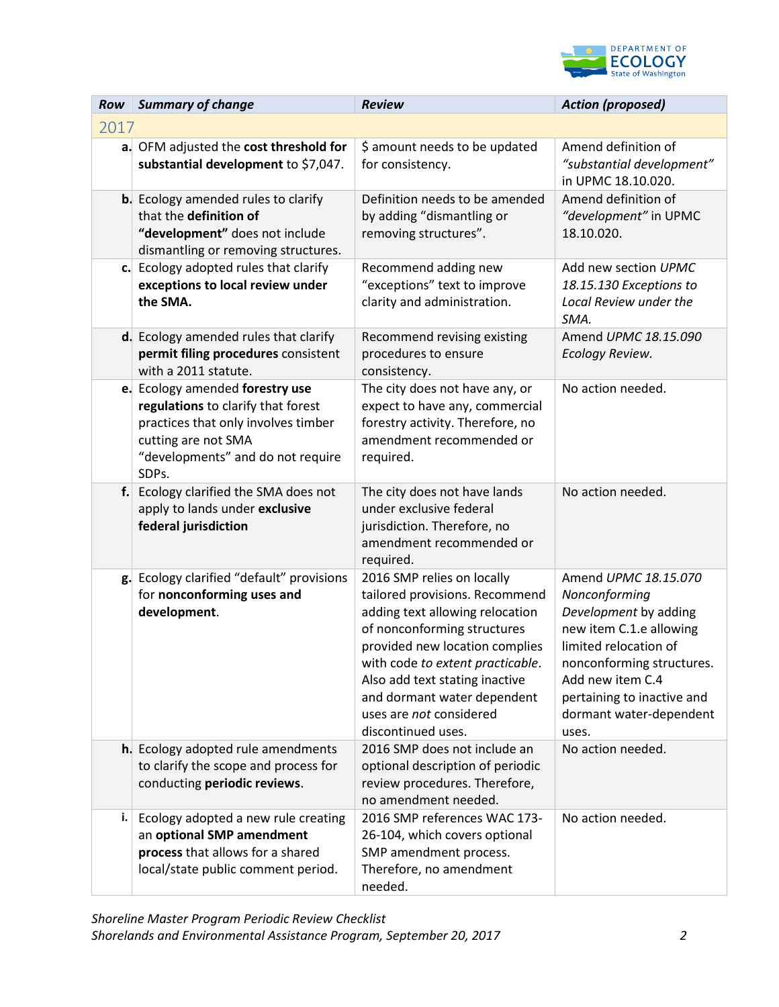

| Row            | <b>Summary of change</b>                                                                                                                                                          | <b>Review</b>                                                                                                                                                                                                                                                                                                          | <b>Action (proposed)</b>                                                                                                                                                                                                              |
|----------------|-----------------------------------------------------------------------------------------------------------------------------------------------------------------------------------|------------------------------------------------------------------------------------------------------------------------------------------------------------------------------------------------------------------------------------------------------------------------------------------------------------------------|---------------------------------------------------------------------------------------------------------------------------------------------------------------------------------------------------------------------------------------|
| 2017           |                                                                                                                                                                                   |                                                                                                                                                                                                                                                                                                                        |                                                                                                                                                                                                                                       |
|                | a. OFM adjusted the cost threshold for<br>substantial development to \$7,047.                                                                                                     | \$ amount needs to be updated<br>for consistency.                                                                                                                                                                                                                                                                      | Amend definition of<br>"substantial development"<br>in UPMC 18.10.020.                                                                                                                                                                |
|                | <b>b.</b> Ecology amended rules to clarify<br>that the definition of<br>"development" does not include<br>dismantling or removing structures.                                     | Definition needs to be amended<br>by adding "dismantling or<br>removing structures".                                                                                                                                                                                                                                   | Amend definition of<br>"development" in UPMC<br>18.10.020.                                                                                                                                                                            |
|                | c. Ecology adopted rules that clarify<br>exceptions to local review under<br>the SMA.                                                                                             | Recommend adding new<br>"exceptions" text to improve<br>clarity and administration.                                                                                                                                                                                                                                    | Add new section UPMC<br>18.15.130 Exceptions to<br>Local Review under the<br>SMA.                                                                                                                                                     |
|                | d. Ecology amended rules that clarify<br>permit filing procedures consistent<br>with a 2011 statute.                                                                              | Recommend revising existing<br>procedures to ensure<br>consistency.                                                                                                                                                                                                                                                    | Amend UPMC 18.15.090<br>Ecology Review.                                                                                                                                                                                               |
|                | e. Ecology amended forestry use<br>regulations to clarify that forest<br>practices that only involves timber<br>cutting are not SMA<br>"developments" and do not require<br>SDPs. | The city does not have any, or<br>expect to have any, commercial<br>forestry activity. Therefore, no<br>amendment recommended or<br>required.                                                                                                                                                                          | No action needed.                                                                                                                                                                                                                     |
|                | f. Ecology clarified the SMA does not<br>apply to lands under exclusive<br>federal jurisdiction                                                                                   | The city does not have lands<br>under exclusive federal<br>jurisdiction. Therefore, no<br>amendment recommended or<br>required.                                                                                                                                                                                        | No action needed.                                                                                                                                                                                                                     |
|                | g. Ecology clarified "default" provisions<br>for nonconforming uses and<br>development.                                                                                           | 2016 SMP relies on locally<br>tailored provisions. Recommend<br>adding text allowing relocation<br>of nonconforming structures<br>provided new location complies<br>with code to extent practicable.<br>Also add text stating inactive<br>and dormant water dependent<br>uses are not considered<br>discontinued uses. | Amend UPMC 18.15.070<br>Nonconforming<br>Development by adding<br>new item C.1.e allowing<br>limited relocation of<br>nonconforming structures.<br>Add new item C.4<br>pertaining to inactive and<br>dormant water-dependent<br>uses. |
|                | h. Ecology adopted rule amendments<br>to clarify the scope and process for<br>conducting periodic reviews.                                                                        | 2016 SMP does not include an<br>optional description of periodic<br>review procedures. Therefore,<br>no amendment needed.                                                                                                                                                                                              | No action needed.                                                                                                                                                                                                                     |
| $\mathbf{i}$ . | Ecology adopted a new rule creating<br>an optional SMP amendment<br>process that allows for a shared<br>local/state public comment period.                                        | 2016 SMP references WAC 173-<br>26-104, which covers optional<br>SMP amendment process.<br>Therefore, no amendment<br>needed.                                                                                                                                                                                          | No action needed.                                                                                                                                                                                                                     |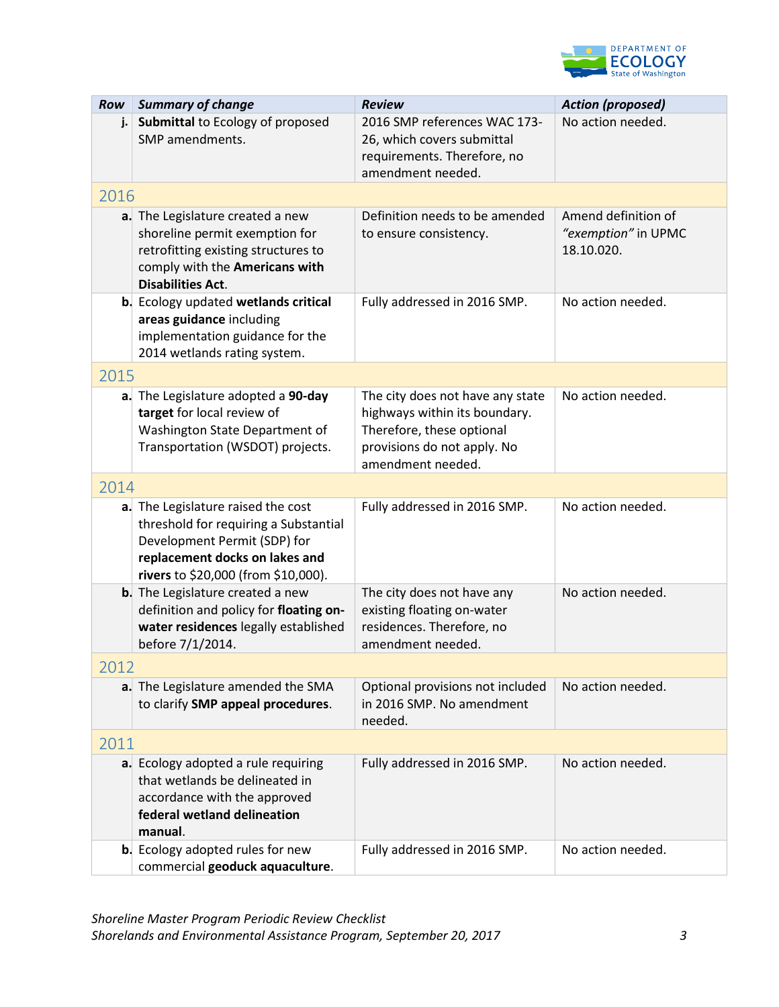

| Row  | <b>Summary of change</b>                                                                                                                                                             | <b>Review</b>                                                                                                                                      | <b>Action (proposed)</b>                                 |  |  |  |  |
|------|--------------------------------------------------------------------------------------------------------------------------------------------------------------------------------------|----------------------------------------------------------------------------------------------------------------------------------------------------|----------------------------------------------------------|--|--|--|--|
| j.   | Submittal to Ecology of proposed<br>SMP amendments.                                                                                                                                  | 2016 SMP references WAC 173-<br>26, which covers submittal<br>requirements. Therefore, no<br>amendment needed.                                     | No action needed.                                        |  |  |  |  |
|      | 2016                                                                                                                                                                                 |                                                                                                                                                    |                                                          |  |  |  |  |
|      | a. The Legislature created a new<br>shoreline permit exemption for<br>retrofitting existing structures to<br>comply with the Americans with<br><b>Disabilities Act.</b>              | Definition needs to be amended<br>to ensure consistency.                                                                                           | Amend definition of<br>"exemption" in UPMC<br>18.10.020. |  |  |  |  |
|      | <b>b.</b> Ecology updated wetlands critical<br>areas guidance including<br>implementation guidance for the<br>2014 wetlands rating system.                                           | Fully addressed in 2016 SMP.                                                                                                                       | No action needed.                                        |  |  |  |  |
| 2015 |                                                                                                                                                                                      |                                                                                                                                                    |                                                          |  |  |  |  |
|      | a. The Legislature adopted a 90-day<br>target for local review of<br>Washington State Department of<br>Transportation (WSDOT) projects.                                              | The city does not have any state<br>highways within its boundary.<br>Therefore, these optional<br>provisions do not apply. No<br>amendment needed. | No action needed.                                        |  |  |  |  |
| 2014 |                                                                                                                                                                                      |                                                                                                                                                    |                                                          |  |  |  |  |
|      | a. The Legislature raised the cost<br>threshold for requiring a Substantial<br>Development Permit (SDP) for<br>replacement docks on lakes and<br>rivers to \$20,000 (from \$10,000). | Fully addressed in 2016 SMP.                                                                                                                       | No action needed.                                        |  |  |  |  |
|      | <b>b.</b> The Legislature created a new<br>definition and policy for floating on-<br>water residences legally established<br>before 7/1/2014.                                        | The city does not have any<br>existing floating on-water<br>residences. Therefore, no<br>amendment needed.                                         | No action needed.                                        |  |  |  |  |
| 2012 |                                                                                                                                                                                      |                                                                                                                                                    |                                                          |  |  |  |  |
|      | a. The Legislature amended the SMA<br>to clarify SMP appeal procedures.                                                                                                              | Optional provisions not included<br>in 2016 SMP. No amendment<br>needed.                                                                           | No action needed.                                        |  |  |  |  |
| 2011 |                                                                                                                                                                                      |                                                                                                                                                    |                                                          |  |  |  |  |
|      | a. Ecology adopted a rule requiring<br>that wetlands be delineated in<br>accordance with the approved<br>federal wetland delineation<br>manual.                                      | Fully addressed in 2016 SMP.                                                                                                                       | No action needed.                                        |  |  |  |  |
|      | <b>b.</b> Ecology adopted rules for new<br>commercial geoduck aquaculture.                                                                                                           | Fully addressed in 2016 SMP.                                                                                                                       | No action needed.                                        |  |  |  |  |